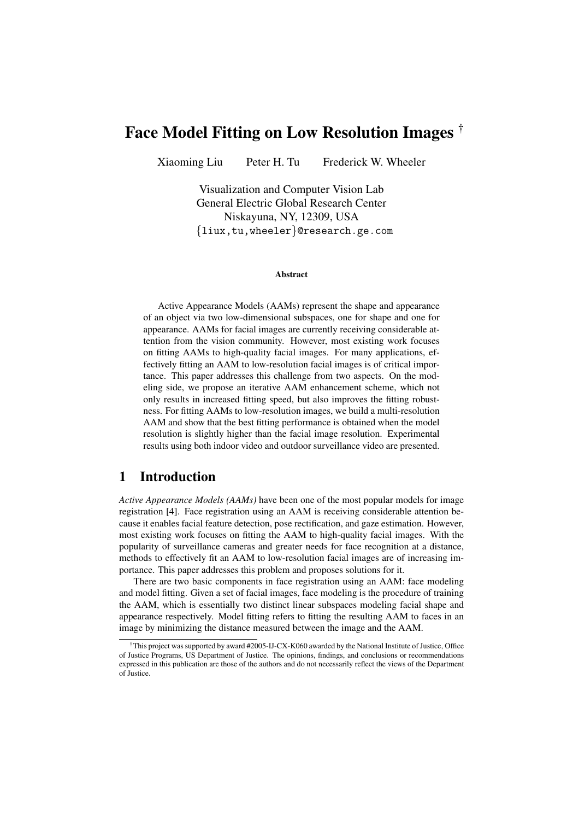# Face Model Fitting on Low Resolution Images †

Xiaoming Liu Peter H. Tu Frederick W. Wheeler

Visualization and Computer Vision Lab General Electric Global Research Center Niskayuna, NY, 12309, USA {liux,tu,wheeler}@research.ge.com

#### Abstract

Active Appearance Models (AAMs) represent the shape and appearance of an object via two low-dimensional subspaces, one for shape and one for appearance. AAMs for facial images are currently receiving considerable attention from the vision community. However, most existing work focuses on fitting AAMs to high-quality facial images. For many applications, effectively fitting an AAM to low-resolution facial images is of critical importance. This paper addresses this challenge from two aspects. On the modeling side, we propose an iterative AAM enhancement scheme, which not only results in increased fitting speed, but also improves the fitting robustness. For fitting AAMs to low-resolution images, we build a multi-resolution AAM and show that the best fitting performance is obtained when the model resolution is slightly higher than the facial image resolution. Experimental results using both indoor video and outdoor surveillance video are presented.

# 1 Introduction

*Active Appearance Models (AAMs)* have been one of the most popular models for image registration [4]. Face registration using an AAM is receiving considerable attention because it enables facial feature detection, pose rectification, and gaze estimation. However, most existing work focuses on fitting the AAM to high-quality facial images. With the popularity of surveillance cameras and greater needs for face recognition at a distance, methods to effectively fit an AAM to low-resolution facial images are of increasing importance. This paper addresses this problem and proposes solutions for it.

There are two basic components in face registration using an AAM: face modeling and model fitting. Given a set of facial images, face modeling is the procedure of training the AAM, which is essentially two distinct linear subspaces modeling facial shape and appearance respectively. Model fitting refers to fitting the resulting AAM to faces in an image by minimizing the distance measured between the image and the AAM.

<sup>†</sup>This project was supported by award #2005-IJ-CX-K060 awarded by the National Institute of Justice, Office of Justice Programs, US Department of Justice. The opinions, findings, and conclusions or recommendations expressed in this publication are those of the authors and do not necessarily reflect the views of the Department of Justice.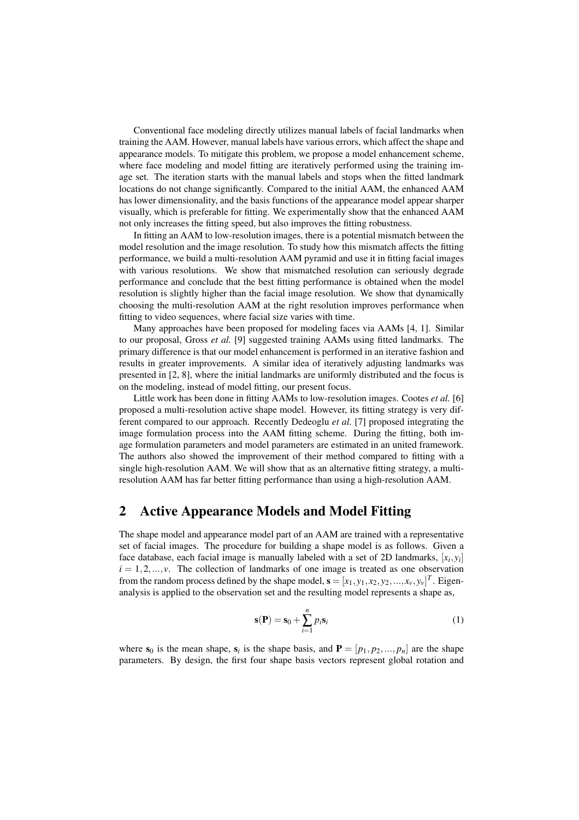Conventional face modeling directly utilizes manual labels of facial landmarks when training the AAM. However, manual labels have various errors, which affect the shape and appearance models. To mitigate this problem, we propose a model enhancement scheme, where face modeling and model fitting are iteratively performed using the training image set. The iteration starts with the manual labels and stops when the fitted landmark locations do not change significantly. Compared to the initial AAM, the enhanced AAM has lower dimensionality, and the basis functions of the appearance model appear sharper visually, which is preferable for fitting. We experimentally show that the enhanced AAM not only increases the fitting speed, but also improves the fitting robustness.

In fitting an AAM to low-resolution images, there is a potential mismatch between the model resolution and the image resolution. To study how this mismatch affects the fitting performance, we build a multi-resolution AAM pyramid and use it in fitting facial images with various resolutions. We show that mismatched resolution can seriously degrade performance and conclude that the best fitting performance is obtained when the model resolution is slightly higher than the facial image resolution. We show that dynamically choosing the multi-resolution AAM at the right resolution improves performance when fitting to video sequences, where facial size varies with time.

Many approaches have been proposed for modeling faces via AAMs [4, 1]. Similar to our proposal, Gross *et al.* [9] suggested training AAMs using fitted landmarks. The primary difference is that our model enhancement is performed in an iterative fashion and results in greater improvements. A similar idea of iteratively adjusting landmarks was presented in [2, 8], where the initial landmarks are uniformly distributed and the focus is on the modeling, instead of model fitting, our present focus.

Little work has been done in fitting AAMs to low-resolution images. Cootes *et al.* [6] proposed a multi-resolution active shape model. However, its fitting strategy is very different compared to our approach. Recently Dedeoglu *et al.* [7] proposed integrating the image formulation process into the AAM fitting scheme. During the fitting, both image formulation parameters and model parameters are estimated in an united framework. The authors also showed the improvement of their method compared to fitting with a single high-resolution AAM. We will show that as an alternative fitting strategy, a multiresolution AAM has far better fitting performance than using a high-resolution AAM.

### 2 Active Appearance Models and Model Fitting

The shape model and appearance model part of an AAM are trained with a representative set of facial images. The procedure for building a shape model is as follows. Given a face database, each facial image is manually labeled with a set of 2D landmarks, [*x<sup>i</sup>* ,*yi* ]  $i = 1, 2, \ldots, \nu$ . The collection of landmarks of one image is treated as one observation from the random process defined by the shape model,  $\mathbf{s} = [x_1, y_1, x_2, y_2, ..., x_v, y_v]^T$ . Eigenanalysis is applied to the observation set and the resulting model represents a shape as,

$$
\mathbf{s}(\mathbf{P}) = \mathbf{s}_0 + \sum_{i=1}^{n} p_i \mathbf{s}_i \tag{1}
$$

where  $s_0$  is the mean shape,  $s_i$  is the shape basis, and  $P = [p_1, p_2, ..., p_n]$  are the shape parameters. By design, the first four shape basis vectors represent global rotation and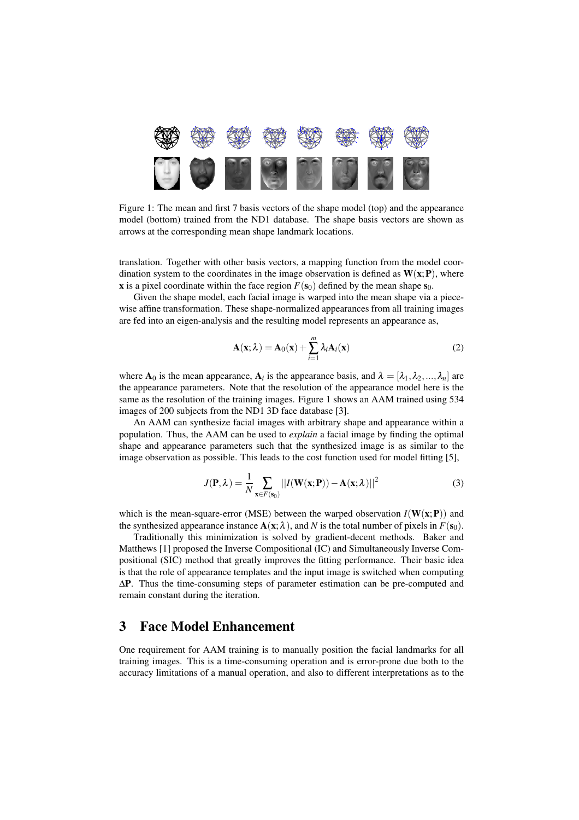

Figure 1: The mean and first 7 basis vectors of the shape model (top) and the appearance model (bottom) trained from the ND1 database. The shape basis vectors are shown as arrows at the corresponding mean shape landmark locations.

translation. Together with other basis vectors, a mapping function from the model coordination system to the coordinates in the image observation is defined as  $W(x;P)$ , where x is a pixel coordinate within the face region  $F(\mathbf{s}_0)$  defined by the mean shape  $\mathbf{s}_0$ .

Given the shape model, each facial image is warped into the mean shape via a piecewise affine transformation. These shape-normalized appearances from all training images are fed into an eigen-analysis and the resulting model represents an appearance as,

$$
\mathbf{A}(\mathbf{x};\lambda) = \mathbf{A}_0(\mathbf{x}) + \sum_{i=1}^{m} \lambda_i \mathbf{A}_i(\mathbf{x})
$$
 (2)

where  $A_0$  is the mean appearance,  $A_i$  is the appearance basis, and  $\lambda = [\lambda_1, \lambda_2, ..., \lambda_n]$  are the appearance parameters. Note that the resolution of the appearance model here is the same as the resolution of the training images. Figure 1 shows an AAM trained using 534 images of 200 subjects from the ND1 3D face database [3].

An AAM can synthesize facial images with arbitrary shape and appearance within a population. Thus, the AAM can be used to *explain* a facial image by finding the optimal shape and appearance parameters such that the synthesized image is as similar to the image observation as possible. This leads to the cost function used for model fitting [5],

$$
J(\mathbf{P}, \lambda) = \frac{1}{N} \sum_{\mathbf{x} \in F(\mathbf{s}_0)} ||I(\mathbf{W}(\mathbf{x}; \mathbf{P})) - \mathbf{A}(\mathbf{x}; \lambda)||^2
$$
(3)

which is the mean-square-error (MSE) between the warped observation  $I(W(x;P))$  and the synthesized appearance instance  $A(x; \lambda)$ , and *N* is the total number of pixels in  $F(s_0)$ .

Traditionally this minimization is solved by gradient-decent methods. Baker and Matthews [1] proposed the Inverse Compositional (IC) and Simultaneously Inverse Compositional (SIC) method that greatly improves the fitting performance. Their basic idea is that the role of appearance templates and the input image is switched when computing ∆P. Thus the time-consuming steps of parameter estimation can be pre-computed and remain constant during the iteration.

#### 3 Face Model Enhancement

One requirement for AAM training is to manually position the facial landmarks for all training images. This is a time-consuming operation and is error-prone due both to the accuracy limitations of a manual operation, and also to different interpretations as to the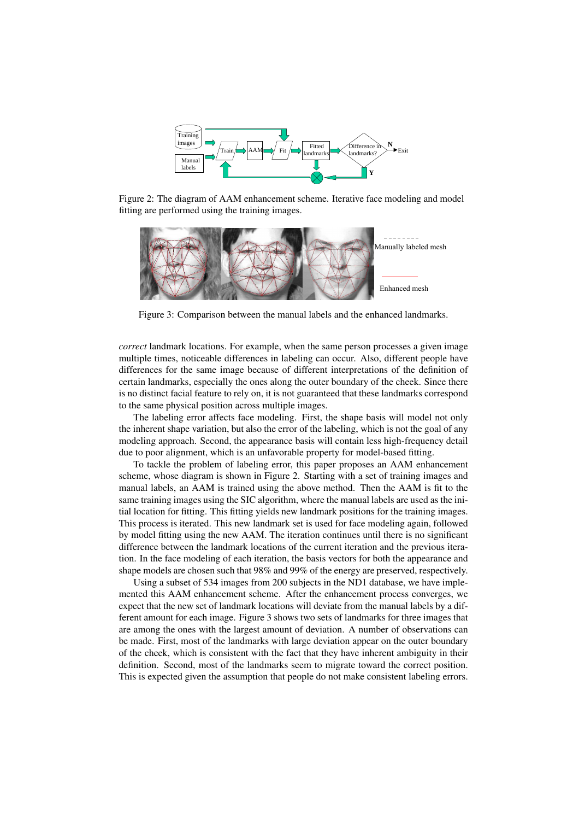

Figure 2: The diagram of AAM enhancement scheme. Iterative face modeling and model fitting are performed using the training images.



Figure 3: Comparison between the manual labels and the enhanced landmarks.

*correct* landmark locations. For example, when the same person processes a given image multiple times, noticeable differences in labeling can occur. Also, different people have differences for the same image because of different interpretations of the definition of certain landmarks, especially the ones along the outer boundary of the cheek. Since there is no distinct facial feature to rely on, it is not guaranteed that these landmarks correspond to the same physical position across multiple images.

The labeling error affects face modeling. First, the shape basis will model not only the inherent shape variation, but also the error of the labeling, which is not the goal of any modeling approach. Second, the appearance basis will contain less high-frequency detail due to poor alignment, which is an unfavorable property for model-based fitting.

To tackle the problem of labeling error, this paper proposes an AAM enhancement scheme, whose diagram is shown in Figure 2. Starting with a set of training images and manual labels, an AAM is trained using the above method. Then the AAM is fit to the same training images using the SIC algorithm, where the manual labels are used as the initial location for fitting. This fitting yields new landmark positions for the training images. This process is iterated. This new landmark set is used for face modeling again, followed by model fitting using the new AAM. The iteration continues until there is no significant difference between the landmark locations of the current iteration and the previous iteration. In the face modeling of each iteration, the basis vectors for both the appearance and shape models are chosen such that 98% and 99% of the energy are preserved, respectively.

Using a subset of 534 images from 200 subjects in the ND1 database, we have implemented this AAM enhancement scheme. After the enhancement process converges, we expect that the new set of landmark locations will deviate from the manual labels by a different amount for each image. Figure 3 shows two sets of landmarks for three images that are among the ones with the largest amount of deviation. A number of observations can be made. First, most of the landmarks with large deviation appear on the outer boundary of the cheek, which is consistent with the fact that they have inherent ambiguity in their definition. Second, most of the landmarks seem to migrate toward the correct position. This is expected given the assumption that people do not make consistent labeling errors.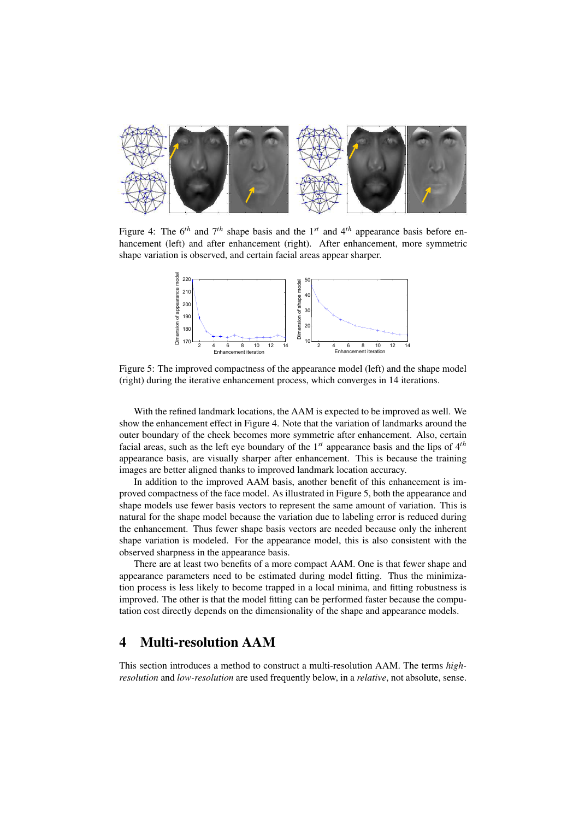

Figure 4: The  $6^{th}$  and  $7^{th}$  shape basis and the 1<sup>st</sup> and 4<sup>th</sup> appearance basis before enhancement (left) and after enhancement (right). After enhancement, more symmetric shape variation is observed, and certain facial areas appear sharper.



Figure 5: The improved compactness of the appearance model (left) and the shape model (right) during the iterative enhancement process, which converges in 14 iterations.

With the refined landmark locations, the AAM is expected to be improved as well. We show the enhancement effect in Figure 4. Note that the variation of landmarks around the outer boundary of the cheek becomes more symmetric after enhancement. Also, certain facial areas, such as the left eye boundary of the 1 *st* appearance basis and the lips of 4 *th* appearance basis, are visually sharper after enhancement. This is because the training images are better aligned thanks to improved landmark location accuracy.

In addition to the improved AAM basis, another benefit of this enhancement is improved compactness of the face model. As illustrated in Figure 5, both the appearance and shape models use fewer basis vectors to represent the same amount of variation. This is natural for the shape model because the variation due to labeling error is reduced during the enhancement. Thus fewer shape basis vectors are needed because only the inherent shape variation is modeled. For the appearance model, this is also consistent with the observed sharpness in the appearance basis.

There are at least two benefits of a more compact AAM. One is that fewer shape and appearance parameters need to be estimated during model fitting. Thus the minimization process is less likely to become trapped in a local minima, and fitting robustness is improved. The other is that the model fitting can be performed faster because the computation cost directly depends on the dimensionality of the shape and appearance models.

# 4 Multi-resolution AAM

This section introduces a method to construct a multi-resolution AAM. The terms *highresolution* and *low-resolution* are used frequently below, in a *relative*, not absolute, sense.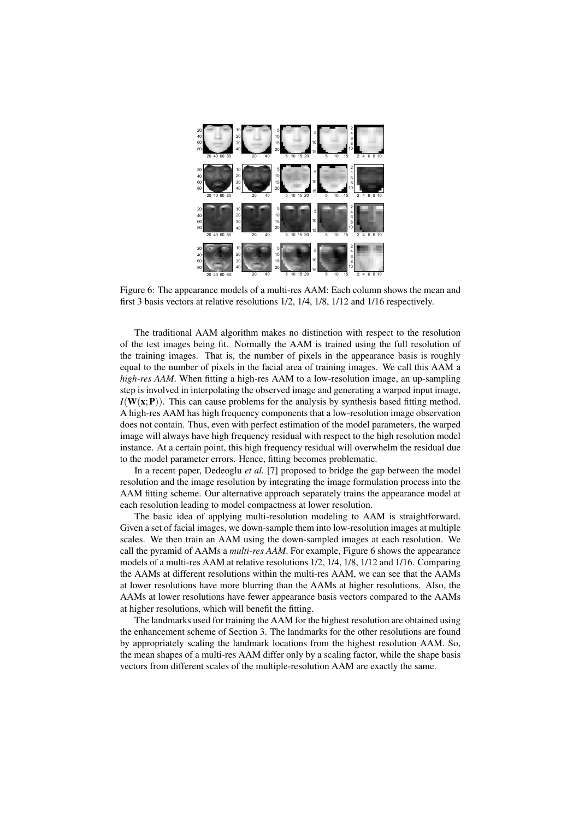

Figure 6: The appearance models of a multi-res AAM: Each column shows the mean and first 3 basis vectors at relative resolutions 1/2, 1/4, 1/8, 1/12 and 1/16 respectively.

The traditional AAM algorithm makes no distinction with respect to the resolution of the test images being fit. Normally the AAM is trained using the full resolution of the training images. That is, the number of pixels in the appearance basis is roughly equal to the number of pixels in the facial area of training images. We call this AAM a *high-res AAM*. When fitting a high-res AAM to a low-resolution image, an up-sampling step is involved in interpolating the observed image and generating a warped input image,  $I(W(x;P))$ . This can cause problems for the analysis by synthesis based fitting method. A high-res AAM has high frequency components that a low-resolution image observation does not contain. Thus, even with perfect estimation of the model parameters, the warped image will always have high frequency residual with respect to the high resolution model instance. At a certain point, this high frequency residual will overwhelm the residual due to the model parameter errors. Hence, fitting becomes problematic.

In a recent paper, Dedeoglu *et al.* [7] proposed to bridge the gap between the model resolution and the image resolution by integrating the image formulation process into the AAM fitting scheme. Our alternative approach separately trains the appearance model at each resolution leading to model compactness at lower resolution.

The basic idea of applying multi-resolution modeling to AAM is straightforward. Given a set of facial images, we down-sample them into low-resolution images at multiple scales. We then train an AAM using the down-sampled images at each resolution. We call the pyramid of AAMs a *multi-res AAM*. For example, Figure 6 shows the appearance models of a multi-res AAM at relative resolutions 1/2, 1/4, 1/8, 1/12 and 1/16. Comparing the AAMs at different resolutions within the multi-res AAM, we can see that the AAMs at lower resolutions have more blurring than the AAMs at higher resolutions. Also, the AAMs at lower resolutions have fewer appearance basis vectors compared to the AAMs at higher resolutions, which will benefit the fitting.

The landmarks used for training the AAM for the highest resolution are obtained using the enhancement scheme of Section 3. The landmarks for the other resolutions are found by appropriately scaling the landmark locations from the highest resolution AAM. So, the mean shapes of a multi-res AAM differ only by a scaling factor, while the shape basis vectors from different scales of the multiple-resolution AAM are exactly the same.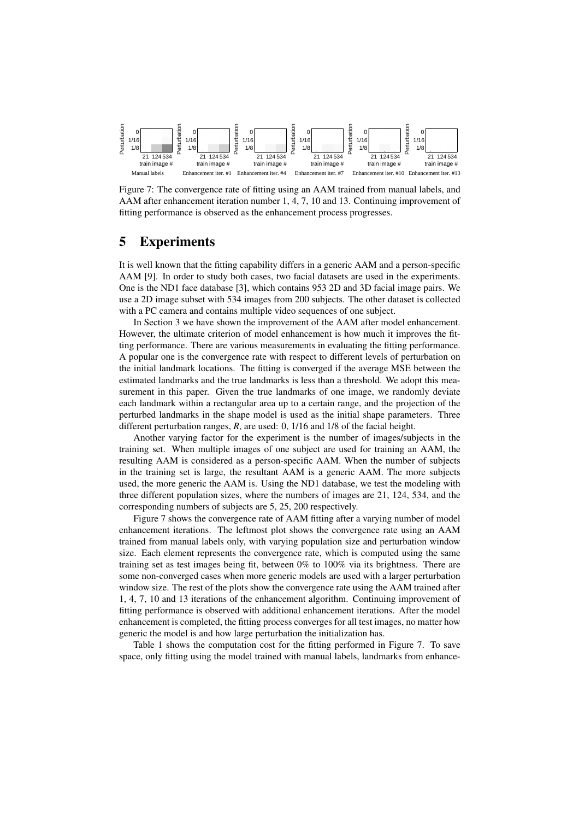

Figure 7: The convergence rate of fitting using an AAM trained from manual labels, and AAM after enhancement iteration number 1, 4, 7, 10 and 13. Continuing improvement of fitting performance is observed as the enhancement process progresses.

# 5 Experiments

It is well known that the fitting capability differs in a generic AAM and a person-specific AAM [9]. In order to study both cases, two facial datasets are used in the experiments. One is the ND1 face database [3], which contains 953 2D and 3D facial image pairs. We use a 2D image subset with 534 images from 200 subjects. The other dataset is collected with a PC camera and contains multiple video sequences of one subject.

In Section 3 we have shown the improvement of the AAM after model enhancement. However, the ultimate criterion of model enhancement is how much it improves the fitting performance. There are various measurements in evaluating the fitting performance. A popular one is the convergence rate with respect to different levels of perturbation on the initial landmark locations. The fitting is converged if the average MSE between the estimated landmarks and the true landmarks is less than a threshold. We adopt this measurement in this paper. Given the true landmarks of one image, we randomly deviate each landmark within a rectangular area up to a certain range, and the projection of the perturbed landmarks in the shape model is used as the initial shape parameters. Three different perturbation ranges, *R*, are used: 0, 1/16 and 1/8 of the facial height.

Another varying factor for the experiment is the number of images/subjects in the training set. When multiple images of one subject are used for training an AAM, the resulting AAM is considered as a person-specific AAM. When the number of subjects in the training set is large, the resultant AAM is a generic AAM. The more subjects used, the more generic the AAM is. Using the ND1 database, we test the modeling with three different population sizes, where the numbers of images are 21, 124, 534, and the corresponding numbers of subjects are 5, 25, 200 respectively.

Figure 7 shows the convergence rate of AAM fitting after a varying number of model enhancement iterations. The leftmost plot shows the convergence rate using an AAM trained from manual labels only, with varying population size and perturbation window size. Each element represents the convergence rate, which is computed using the same training set as test images being fit, between 0% to 100% via its brightness. There are some non-converged cases when more generic models are used with a larger perturbation window size. The rest of the plots show the convergence rate using the AAM trained after 1, 4, 7, 10 and 13 iterations of the enhancement algorithm. Continuing improvement of fitting performance is observed with additional enhancement iterations. After the model enhancement is completed, the fitting process converges for all test images, no matter how generic the model is and how large perturbation the initialization has.

Table 1 shows the computation cost for the fitting performed in Figure 7. To save space, only fitting using the model trained with manual labels, landmarks from enhance-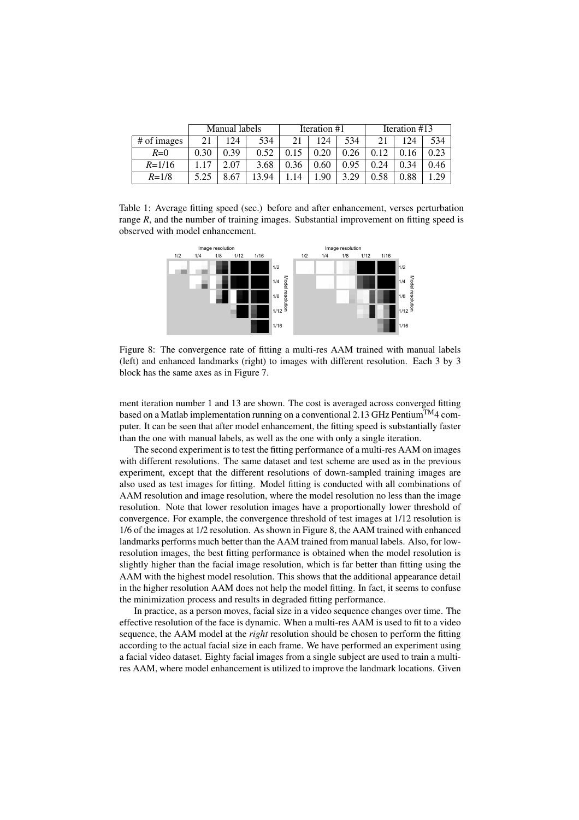|             | Manual labels |      |      | Iteration #1 |      |      | Iteration #13 |      |      |
|-------------|---------------|------|------|--------------|------|------|---------------|------|------|
| # of images | 21            | 24   | 534  | 21           | 124  | 534  |               | 124  | 534  |
| $R=0$       | 0.30          | 0.39 | 0.52 |              | 0.20 | 0.26 | 0.12          | 0.16 | 0.23 |
| $R = 1/16$  | $\cdot$ 17    | 2.07 | 3.68 | 0.36         | 0.60 | 0.95 | 0.24          | 0.34 | 0.46 |
| $R = 1/8$   | 5.25          | 8.67 | 3.94 | 14           | .90  | 3.29 | 0.58          | 0.88 | 29   |

Table 1: Average fitting speed (sec.) before and after enhancement, verses perturbation range  $R$ , and the number of training images. Substantial improvement on fitting speed is observed with model enhancement.



Figure 8: The convergence rate of fitting a multi-res AAM trained with manual labels (left) and enhanced landmarks (right) to images with different resolution. Each 3 by 3 block has the same axes as in Figure 7.

ment iteration number 1 and 13 are shown. The cost is averaged across converged fitting based on a Matlab implementation running on a conventional 2.13 GHz Pentium<sup>TM</sup>4 computer. It can be seen that after model enhancement, the fitting speed is substantially faster than the one with manual labels, as well as the one with only a single iteration.

The second experiment is to test the fitting performance of a multi-res AAM on images with different resolutions. The same dataset and test scheme are used as in the previous experiment, except that the different resolutions of down-sampled training images are also used as test images for fitting. Model fitting is conducted with all combinations of AAM resolution and image resolution, where the model resolution no less than the image resolution. Note that lower resolution images have a proportionally lower threshold of convergence. For example, the convergence threshold of test images at 1/12 resolution is 1/6 of the images at 1/2 resolution. As shown in Figure 8, the AAM trained with enhanced landmarks performs much better than the AAM trained from manual labels. Also, for lowresolution images, the best fitting performance is obtained when the model resolution is slightly higher than the facial image resolution, which is far better than fitting using the AAM with the highest model resolution. This shows that the additional appearance detail in the higher resolution AAM does not help the model fitting. In fact, it seems to confuse the minimization process and results in degraded fitting performance.

In practice, as a person moves, facial size in a video sequence changes over time. The effective resolution of the face is dynamic. When a multi-res AAM is used to fit to a video sequence, the AAM model at the *right* resolution should be chosen to perform the fitting according to the actual facial size in each frame. We have performed an experiment using a facial video dataset. Eighty facial images from a single subject are used to train a multires AAM, where model enhancement is utilized to improve the landmark locations. Given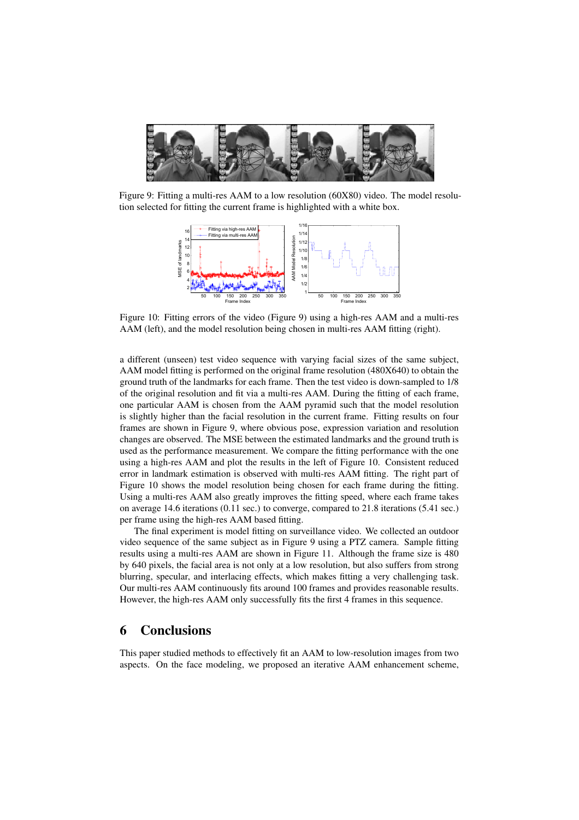

Figure 9: Fitting a multi-res AAM to a low resolution (60X80) video. The model resolution selected for fitting the current frame is highlighted with a white box.



Figure 10: Fitting errors of the video (Figure 9) using a high-res AAM and a multi-res AAM (left), and the model resolution being chosen in multi-res AAM fitting (right).

a different (unseen) test video sequence with varying facial sizes of the same subject, AAM model fitting is performed on the original frame resolution (480X640) to obtain the ground truth of the landmarks for each frame. Then the test video is down-sampled to 1/8 of the original resolution and fit via a multi-res AAM. During the fitting of each frame, one particular AAM is chosen from the AAM pyramid such that the model resolution is slightly higher than the facial resolution in the current frame. Fitting results on four frames are shown in Figure 9, where obvious pose, expression variation and resolution changes are observed. The MSE between the estimated landmarks and the ground truth is used as the performance measurement. We compare the fitting performance with the one using a high-res AAM and plot the results in the left of Figure 10. Consistent reduced error in landmark estimation is observed with multi-res AAM fitting. The right part of Figure 10 shows the model resolution being chosen for each frame during the fitting. Using a multi-res AAM also greatly improves the fitting speed, where each frame takes on average 14.6 iterations (0.11 sec.) to converge, compared to 21.8 iterations (5.41 sec.) per frame using the high-res AAM based fitting.

The final experiment is model fitting on surveillance video. We collected an outdoor video sequence of the same subject as in Figure 9 using a PTZ camera. Sample fitting results using a multi-res AAM are shown in Figure 11. Although the frame size is 480 by 640 pixels, the facial area is not only at a low resolution, but also suffers from strong blurring, specular, and interlacing effects, which makes fitting a very challenging task. Our multi-res AAM continuously fits around 100 frames and provides reasonable results. However, the high-res AAM only successfully fits the first 4 frames in this sequence.

### 6 Conclusions

This paper studied methods to effectively fit an AAM to low-resolution images from two aspects. On the face modeling, we proposed an iterative AAM enhancement scheme,